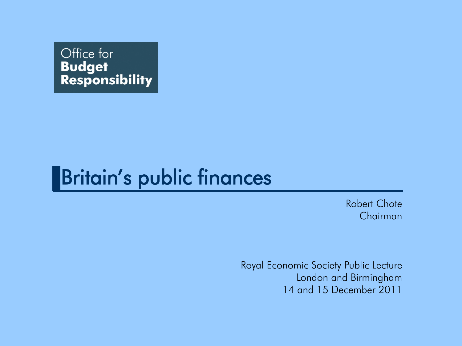

#### Britain's public finances

Robert Chote Chairman

Royal Economic Society Public Lecture London and Birmingham 14 and 15 December 2011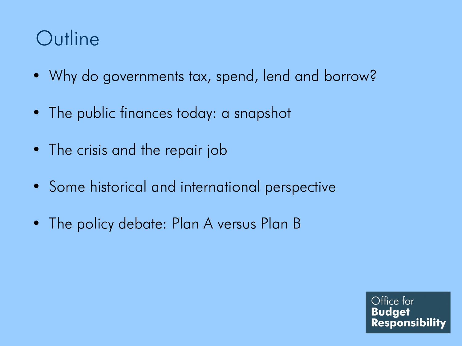## **Outline**

- Why do governments tax, spend, lend and borrow?
- The public finances today: a snapshot
- The crisis and the repair job
- Some historical and international perspective
- The policy debate: Plan A versus Plan B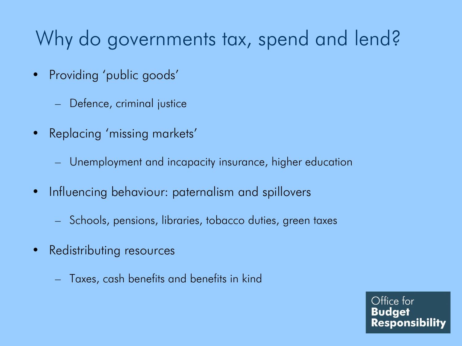# Why do governments tax, spend and lend?

- Providing 'public goods'
	- Defence, criminal justice
- Replacing 'missing markets'
	- Unemployment and incapacity insurance, higher education
- Influencing behaviour: paternalism and spillovers
	- Schools, pensions, libraries, tobacco duties, green taxes
- Redistributing resources
	- Taxes, cash benefits and benefits in kind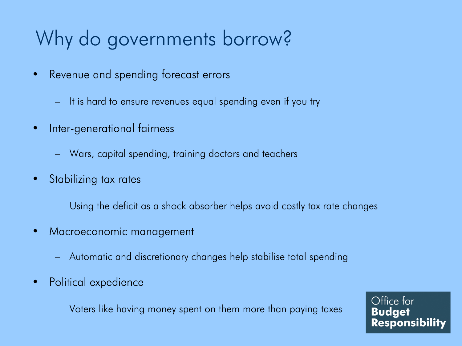# Why do governments borrow?

- Revenue and spending forecast errors
	- It is hard to ensure revenues equal spending even if you try
- Inter-generational fairness
	- Wars, capital spending, training doctors and teachers
- Stabilizing tax rates
	- Using the deficit as a shock absorber helps avoid costly tax rate changes
- Macroeconomic management
	- Automatic and discretionary changes help stabilise total spending
- Political expedience
	- Voters like having money spent on them more than paying taxes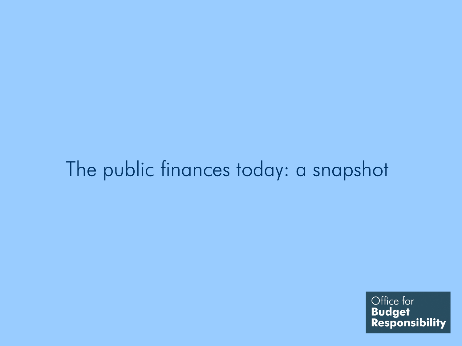#### The public finances today: a snapshot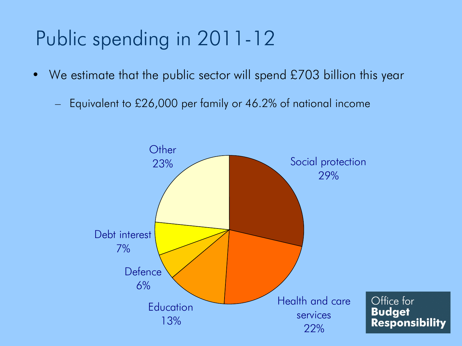# Public spending in 2011-12

- We estimate that the public sector will spend £703 billion this year
	- Equivalent to £26,000 per family or 46.2% of national income

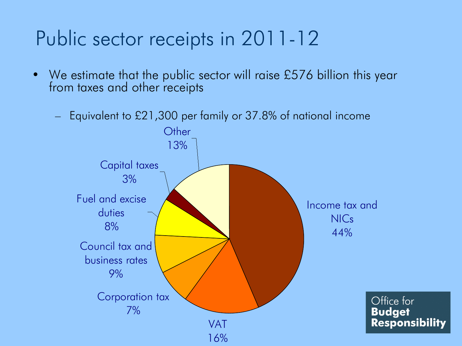## Public sector receipts in 2011-12

- We estimate that the public sector will raise £576 billion this year from taxes and other receipts
	- Equivalent to £21,300 per family or 37.8% of national income

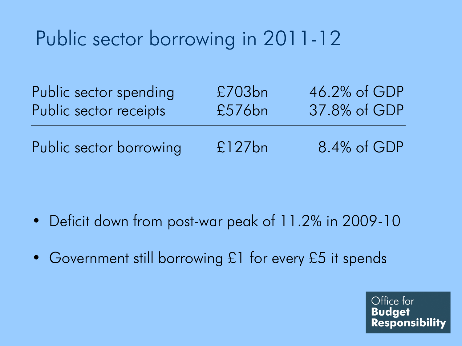# Public sector borrowing in 2011-12

| Public sector spending  | £703bn | 46.2% of GDP |
|-------------------------|--------|--------------|
| Public sector receipts  | £576bn | 37.8% of GDP |
| Public sector borrowing | £127bn | 8.4% of GDP  |

- Deficit down from post-war peak of 11.2% in 2009-10
- Government still borrowing £1 for every £5 it spends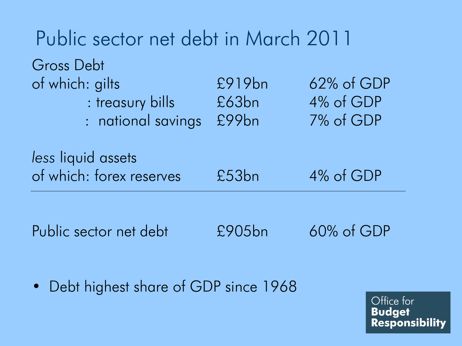| Public sector net debt in March 2011                                    |                          |                                      |  |  |  |  |
|-------------------------------------------------------------------------|--------------------------|--------------------------------------|--|--|--|--|
| Gross Debt<br>of which: gilts<br>: treasury bills<br>: national savings | £919bn<br>£63bn<br>£99bn | 62% of GDP<br>4% of GDP<br>7% of GDP |  |  |  |  |
| less liquid assets<br>of which: forex reserves                          | £53bn                    | 4% of GDP                            |  |  |  |  |
| Public sector net debt                                                  | £905bn                   | $60\%$ of GDP                        |  |  |  |  |

• Debt highest share of GDP since 1968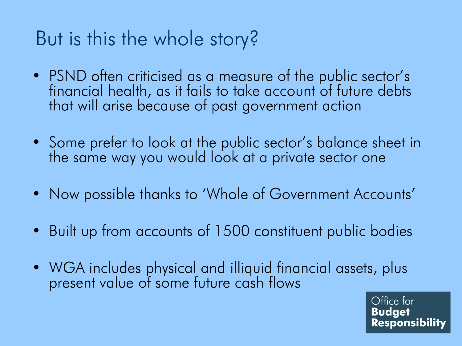#### But is this the whole story?

- PSND often criticised as a measure of the public sector's financial health, as it fails to take account of future debts that will arise because of past government action
- Some prefer to look at the public sector's balance sheet in the same way you would look at a private sector one
- Now possible thanks to 'Whole of Government Accounts'
- Built up from accounts of 1500 constituent public bodies
- WGA includes physical and illiquid financial assets, plus present value of some future cash flows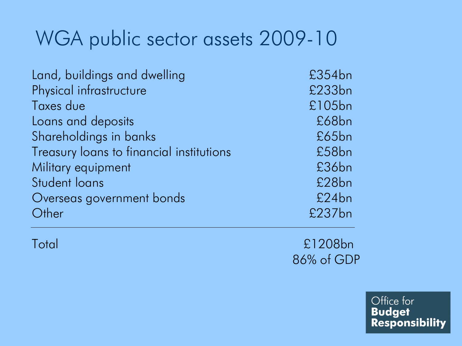#### WGA public sector assets 2009-10

| Land, buildings and dwelling             | £354bn |
|------------------------------------------|--------|
| Physical infrastructure                  | £233bn |
| Taxes due                                | £105bn |
| Loans and deposits                       | £68bn  |
| Shareholdings in banks                   | £65bn  |
| Treasury loans to financial institutions | £58bn  |
| Military equipment                       | £36bn  |
| Student loans                            | £28bn  |
| Overseas government bonds                | £24bn  |
| Other                                    | £237bn |

Total £1208bn 86% of GDP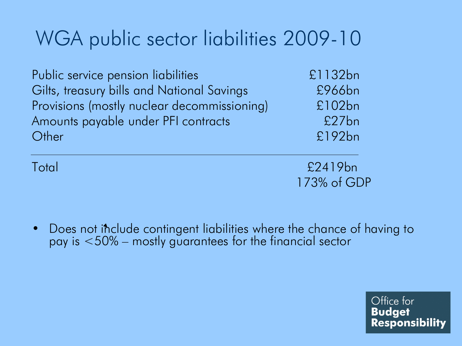## WGA public sector liabilities 2009-10

Public service pension liabilities entitled and the E1132bn Gilts, treasury bills and National Savings **E966bn** Provisions (mostly nuclear decommissioning) £102bn Amounts payable under PFI contracts £27bn Other £192bn

Total £2419bn 173% of GDP

• Does not include contingent liabilities where the chance of having to pay is <50% – mostly guarantees for the financial sector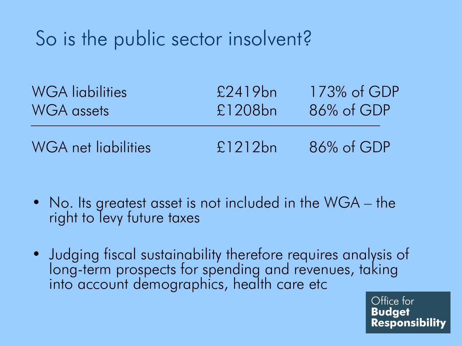## So is the public sector insolvent?

| <b>WGA</b> liabilities | £2419bn | $173\%$ of GDP |
|------------------------|---------|----------------|
| <b>WGA</b> assets      | £1208bn | 86% of GDP     |
| WGA net ligbilities    | £1212bn | 86% of GDP     |

- No. Its greatest asset is not included in the WGA the right to levy future taxes
- Judging fiscal sustainability therefore requires analysis of long-term prospects for spending and revenues, taking into account demographics, health care etc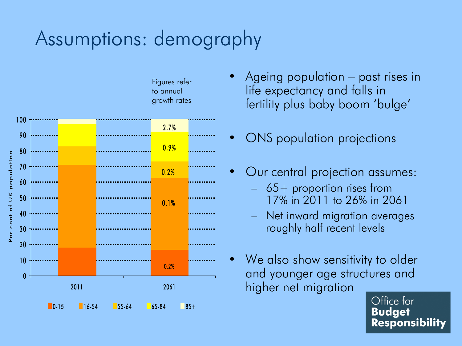#### Assumptions: demography



- Figures refer to annual
- Ageing population past rises in life expectancy and falls in fertility plus baby boom 'bulge'
- ONS population projections
- Our central projection assumes:
	- 65+ proportion rises from 17% in 2011 to 26% in 2061
	- Net inward migration averages roughly half recent levels
- We also show sensitivity to older and younger age structures and higher net migration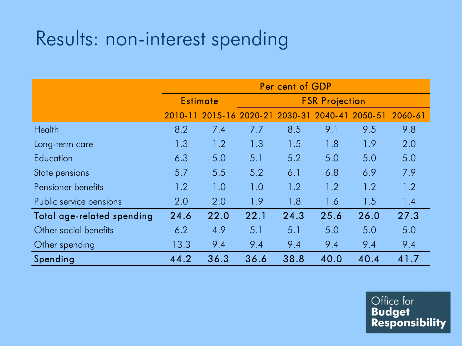#### Results: non-interest spending

|                            | Per cent of GDP |             |                       |         |         |         |         |
|----------------------------|-----------------|-------------|-----------------------|---------|---------|---------|---------|
|                            | <b>Estimate</b> |             | <b>FSR Projection</b> |         |         |         |         |
|                            | 2010-11         | $2015 - 16$ | 2020-21               | 2030-31 | 2040-41 | 2050-51 | 2060-61 |
| <b>Health</b>              | 8.2             | 7.4         | 7.7                   | 8.5     | 9.1     | 9.5     | 9.8     |
| Long-term care             | 1.3             | 1.2         | 1.3                   | 1.5     | 1.8     | 1.9     | 2.0     |
| Education                  | 6.3             | 5.0         | 5.1                   | 5.2     | 5.0     | 5.0     | 5.0     |
| State pensions             | 5.7             | 5.5         | 5.2                   | 6.1     | 6.8     | 6.9     | 7.9     |
| Pensioner benefits         | 1.2             | 1.0         | 1.0                   | 1.2     | 1.2     | 1.2     | 1.2     |
| Public service pensions    | 2.0             | 2.0         | 1.9                   | 1.8     | 1.6     | 1.5     | 1.4     |
| Total age-related spending | 24.6            | 22.0        | 22.1                  | 24.3    | 25.6    | 26.0    | 27.3    |
| Other social benefits      | 6.2             | 4.9         | 5.1                   | 5.1     | 5.0     | 5.0     | 5.0     |
| Other spending             | 13.3            | 9.4         | 9.4                   | 9.4     | 9.4     | 9.4     | 9.4     |
| Spending                   | 44.2            | 36.3        | 36.6                  | 38.8    | 40.0    | 40.4    | 41.7    |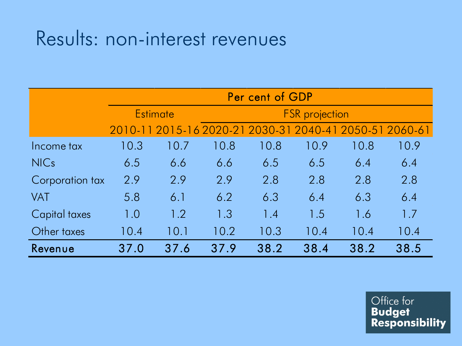#### Results: non-interest revenues

|                 | Per cent of GDP |                                                         |      |                       |      |      |      |
|-----------------|-----------------|---------------------------------------------------------|------|-----------------------|------|------|------|
|                 |                 | <b>Estimate</b>                                         |      | <b>FSR</b> projection |      |      |      |
|                 |                 | 2010-11 2015-16 2020-21 2030-31 2040-41 2050-51 2060-61 |      |                       |      |      |      |
| Income tax      | 10.3            | 10.7                                                    | 10.8 | 10.8                  | 10.9 | 10.8 | 10.9 |
| <b>NICs</b>     | 6.5             | 6.6                                                     | 6.6  | 6.5                   | 6.5  | 6.4  | 6.4  |
| Corporation tax | 2.9             | 2.9                                                     | 2.9  | 2.8                   | 2.8  | 2.8  | 2.8  |
| <b>VAT</b>      | 5.8             | 6.1                                                     | 6.2  | 6.3                   | 6.4  | 6.3  | 6.4  |
| Capital taxes   | 1.0             | 1.2                                                     | 1.3  | 1.4                   | 1.5  | 1.6  | 1.7  |
| Other taxes     | 10.4            | 10.1                                                    | 10.2 | 10.3                  | 10.4 | 10.4 | 10.4 |
| Revenue         | 37.0            | 37.6                                                    | 37.9 | 38.2                  | 38.4 | 38.2 | 38.5 |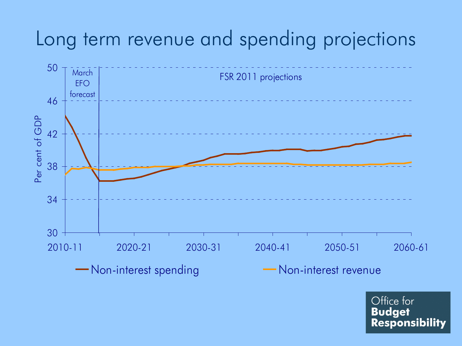#### Long term revenue and spending projections

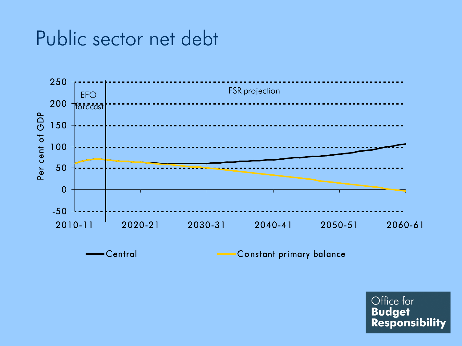#### Public sector net debt



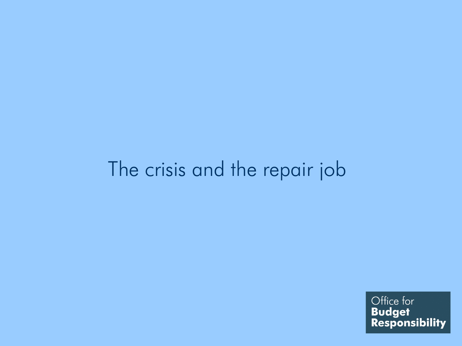#### The crisis and the repair job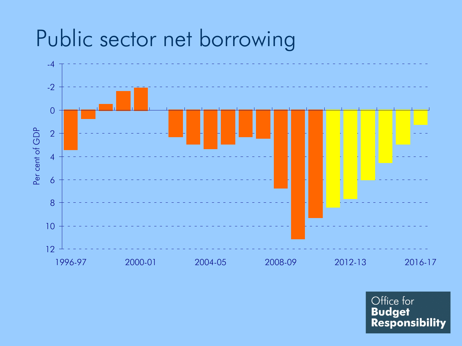# Public sector net borrowing

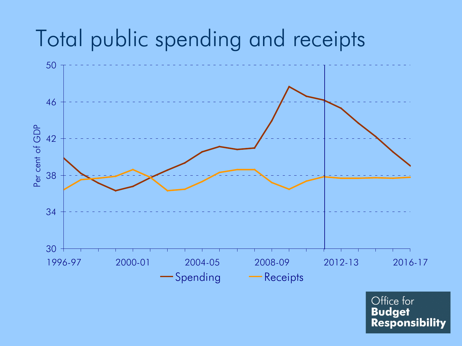## Total public spending and receipts

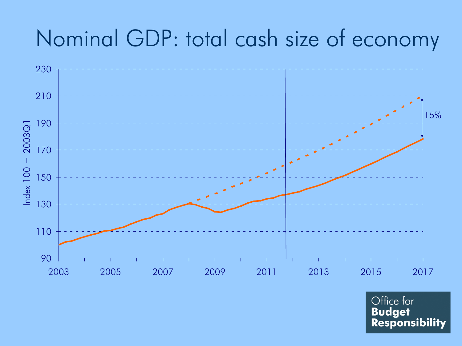# Nominal GDP: total cash size of economy

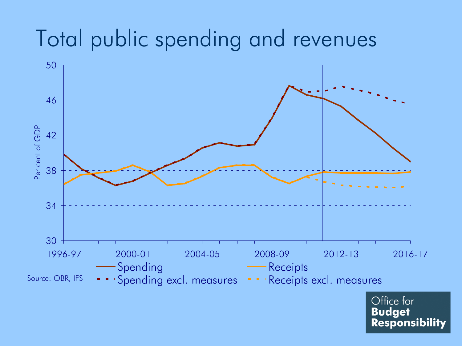## Total public spending and revenues

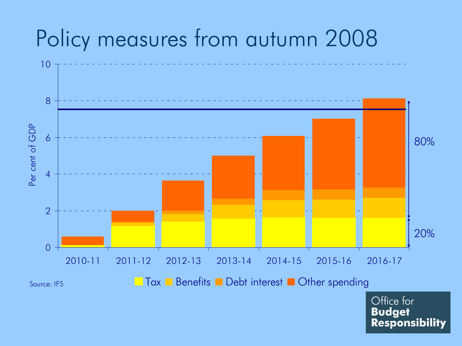# Policy measures from autumn 2008

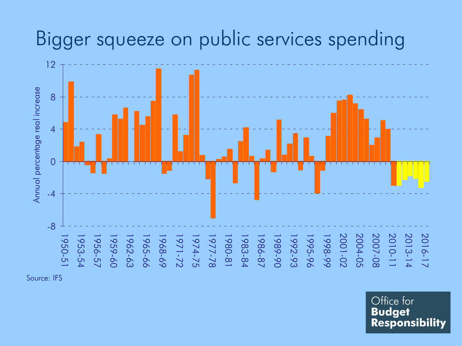#### Bigger squeeze on public services spending



Source: IFS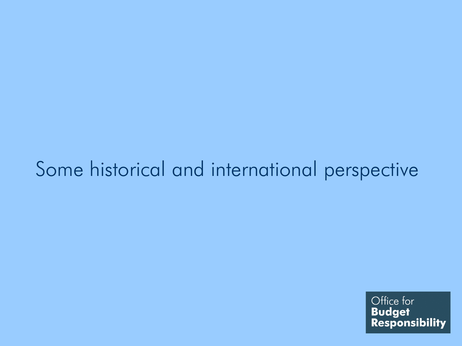#### Some historical and international perspective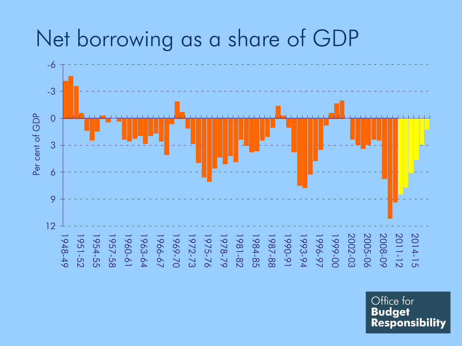# Net borrowing as a share of GDP

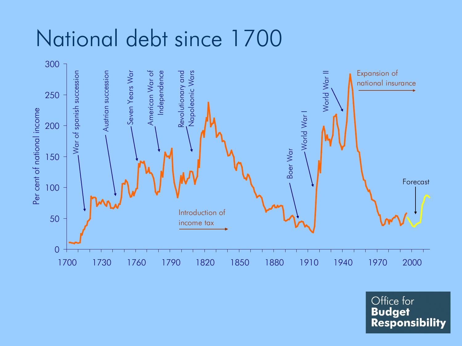## National debt since 1700



Office for<br>**Budget<br>Responsibility**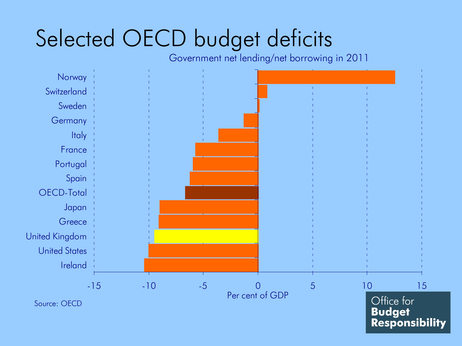# Selected OECD budget deficits

Government net lending/net borrowing in 2011

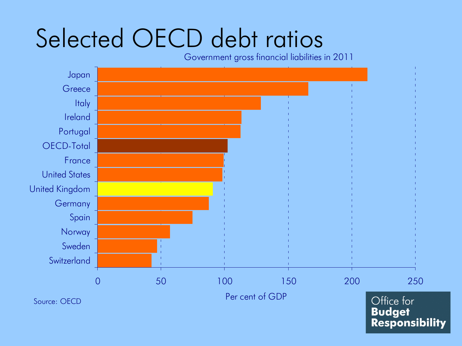# Selected OECD debt ratios

Government gross financial liabilities in 2011



**Budget Responsibility**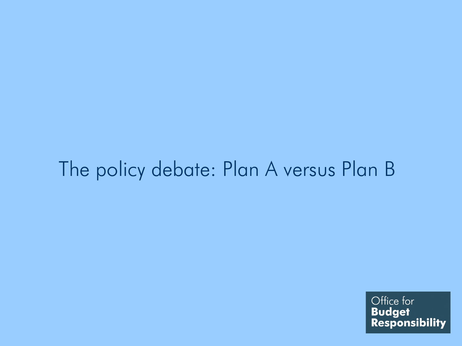#### The policy debate: Plan A versus Plan B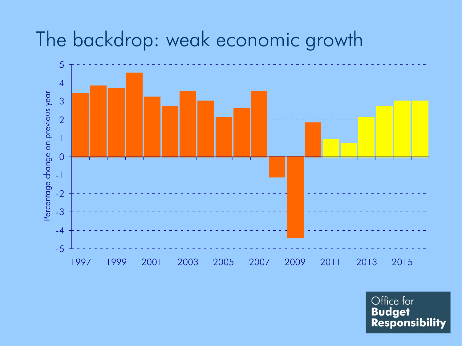#### The backdrop: weak economic growth

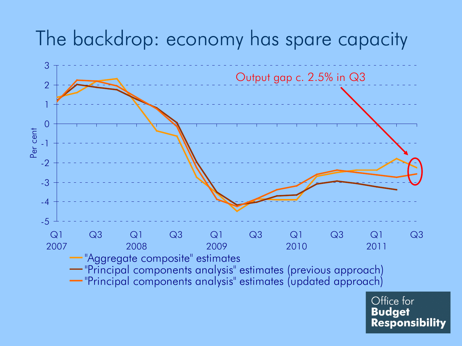#### The backdrop: economy has spare capacity

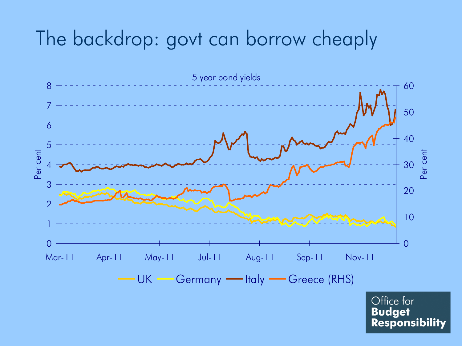#### The backdrop: govt can borrow cheaply

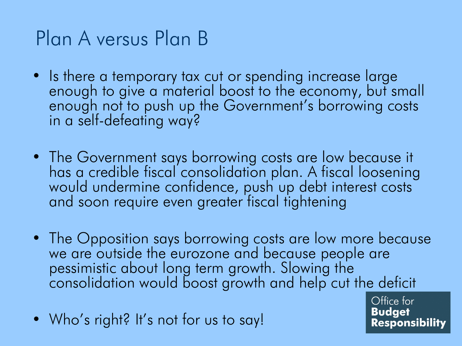## Plan A versus Plan B

- Is there a temporary tax cut or spending increase large enough to give a material boost to the economy, but small enough not to push up the Government's borrowing costs in a self-defeating way?
- The Government says borrowing costs are low because it has a credible fiscal consolidation plan. A fiscal loosening would undermine confidence, push up debt interest costs and soon require even greater fiscal tightening
- The Opposition says borrowing costs are low more because we are outside the eurozone and because people are pessimistic about long term growth. Slowing the consolidation would boost growth and help cut the deficit
- Who's right? It's not for us to say!